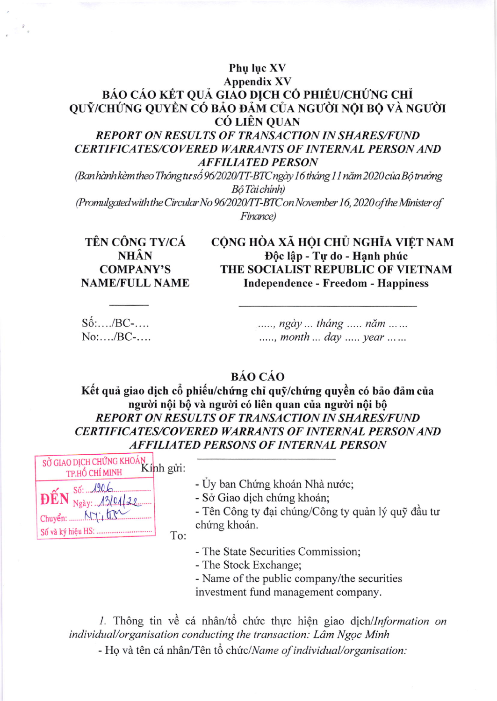## Phu luc XV **Appendix XV** BÁO CÁO KẾT QUẢ GIÁO DỊCH CỔ PHIẾU/CHỨNG CHỈ QUỮ/CHỨNG QUYỀN CÓ BẢO ĐẢM CỦA NGƯỜI NỘI BỘ VÀ NGƯỜI **CÓ LIÊN OUAN**

**REPORT ON RESULTS OF TRANSACTION IN SHARES/FUND CERTIFICATES/COVERED WARRANTS OF INTERNAL PERSON AND AFFILIATED PERSON** 

(Ban hành kèm theo Thông tư số 96/2020/TT-BTC ngày 16 tháng 11 năm 2020 của Bô trưởng Bô Tài chính)

(Promulgated with the Circular No 96/2020/TT-BTC on November 16, 2020 of the Minister of Finance)

TÊN CÔNG TY/CÁ **NHÂN COMPANY'S NAME/FULL NAME**  CỘNG HÒA XÃ HỘI CHỦ NGHĨA VIỆT NAM Độc lập - Tự do - Hạnh phúc THE SOCIALIST REPUBLIC OF VIETNAM **Independence - Freedom - Happiness** 

 $S\acute{\mathrm{o}}$ :..../ $BC$ -....  $No: \ldots / BC$ -....

....., ngày ... tháng ..... năm ... ... ....., month ... day ..... year ......

**BÁO CÁO** 

Kết quả giao dịch cổ phiếu/chứng chỉ quỹ/chứng quyền có bảo đảm của người nội bộ và người có liên quan của người nội bộ **REPORT ON RESULTS OF TRANSACTION IN SHARES/FUND CERTIFICATES/COVERED WARRANTS OF INTERNAL PERSON AND AFFILIATED PERSONS OF INTERNAL PERSON** 



- Ủy ban Chứng khoán Nhà nước;

- Sở Giao dịch chứng khoán;

- Tên Công ty đại chúng/Công ty quản lý quỹ đầu tư chứng khoán.

To:

- The State Securities Commission;

- The Stock Exchange;

- Name of the public company/the securities investment fund management company.

1. Thông tin về cá nhân/tổ chức thực hiện giao dịch/Information on individual/organisation conducting the transaction: Lâm Ngoc Minh

- Họ và tên cá nhân/Tên tổ chức/Name of individual/organisation: